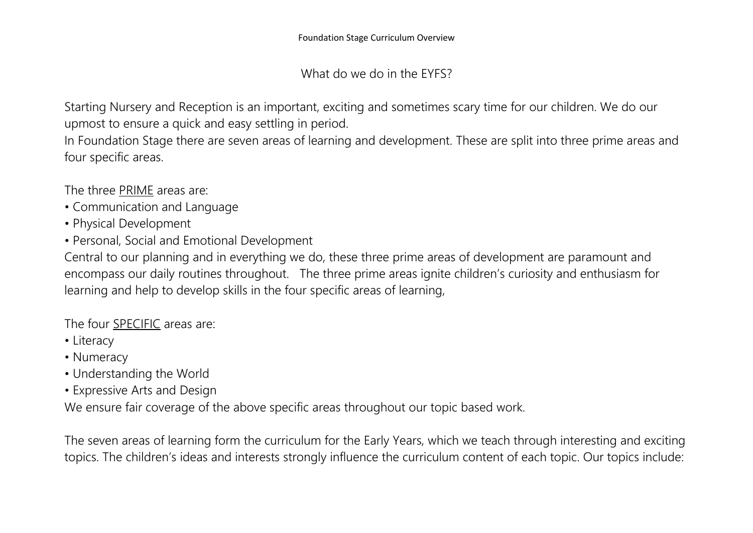What do we do in the EYFS?

Starting Nursery and Reception is an important, exciting and sometimes scary time for our children. We do our upmost to ensure a quick and easy settling in period.

In Foundation Stage there are seven areas of learning and development. These are split into three prime areas and four specific areas.

The three PRIME areas are:

- Communication and Language
- Physical Development
- Personal, Social and Emotional Development

Central to our planning and in everything we do, these three prime areas of development are paramount and encompass our daily routines throughout. The three prime areas ignite children's curiosity and enthusiasm for learning and help to develop skills in the four specific areas of learning,

The four SPECIFIC areas are:

- Literacy
- Numeracy
- Understanding the World
- Expressive Arts and Design

We ensure fair coverage of the above specific areas throughout our topic based work.

The seven areas of learning form the curriculum for the Early Years, which we teach through interesting and exciting topics. The children's ideas and interests strongly influence the curriculum content of each topic. Our topics include: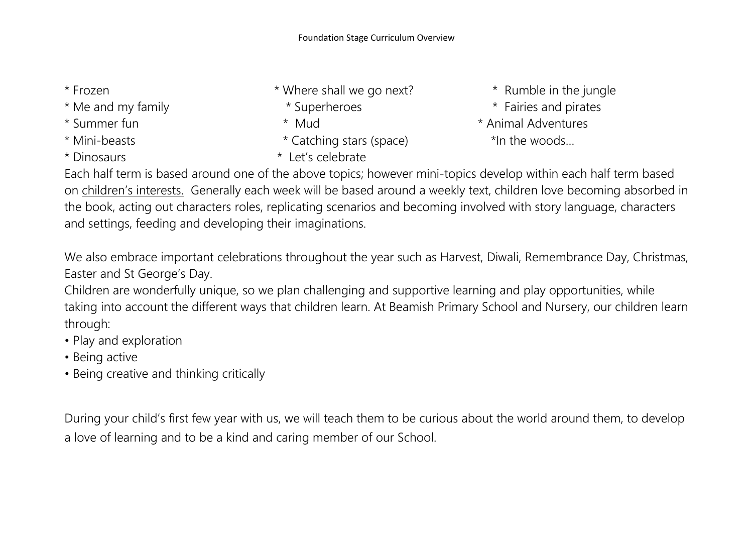- 
- 
- 
- 
- 
- \* Frozen \* Where shall we go next? \* Numble in the jungle
	-
	-
- \* Mini-beasts \* Catching stars (space) \*In the woods…
- \* Dinosaurs \* Let's celebrate
- 
- \* Me and my family **\*** Superheroes \* Fairies and pirates
- \* Summer fun \* Mud \* Animal Adventures

Each half term is based around one of the above topics; however mini-topics develop within each half term based on children's interests. Generally each week will be based around a weekly text, children love becoming absorbed in the book, acting out characters roles, replicating scenarios and becoming involved with story language, characters and settings, feeding and developing their imaginations.

We also embrace important celebrations throughout the year such as Harvest, Diwali, Remembrance Day, Christmas, Easter and St George's Day.

Children are wonderfully unique, so we plan challenging and supportive learning and play opportunities, while taking into account the different ways that children learn. At Beamish Primary School and Nursery, our children learn through:

- Play and exploration
- Being active
- Being creative and thinking critically

During your child's first few year with us, we will teach them to be curious about the world around them, to develop a love of learning and to be a kind and caring member of our School.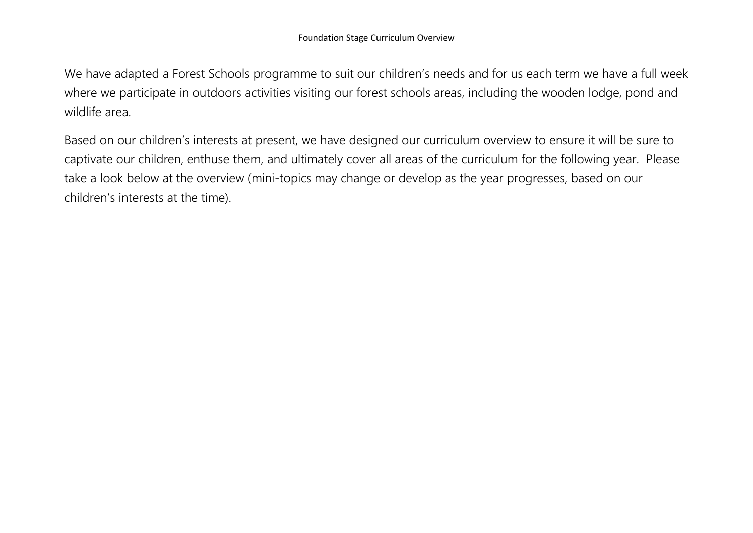We have adapted a Forest Schools programme to suit our children's needs and for us each term we have a full week where we participate in outdoors activities visiting our forest schools areas, including the wooden lodge, pond and wildlife area.

Based on our children's interests at present, we have designed our curriculum overview to ensure it will be sure to captivate our children, enthuse them, and ultimately cover all areas of the curriculum for the following year. Please take a look below at the overview (mini-topics may change or develop as the year progresses, based on our children's interests at the time).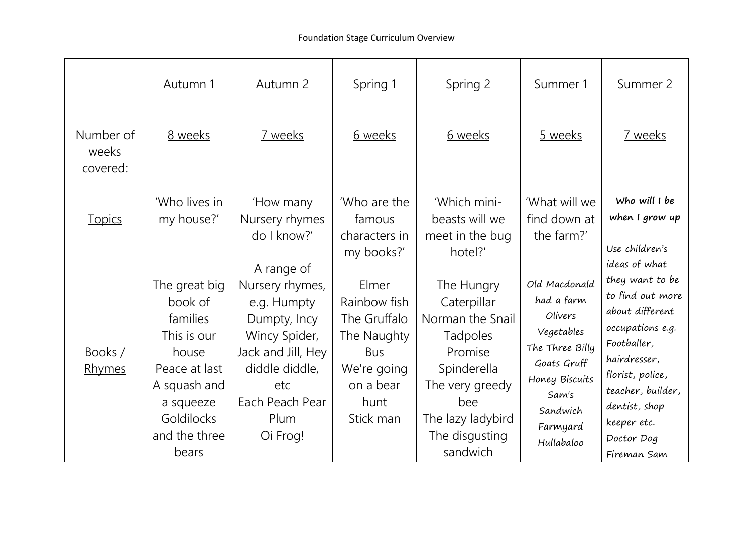|                                | <u>Autumn 1</u>                                                                                                                                           | Autumn 2                                                                                                                                                            | Spring 1                                                                                                            | <u>Spring 2</u>                                                                                                                                                  | Summer 1                                                                                                                                                | <u>Summer 2</u>                                                                                                                                                                                                 |
|--------------------------------|-----------------------------------------------------------------------------------------------------------------------------------------------------------|---------------------------------------------------------------------------------------------------------------------------------------------------------------------|---------------------------------------------------------------------------------------------------------------------|------------------------------------------------------------------------------------------------------------------------------------------------------------------|---------------------------------------------------------------------------------------------------------------------------------------------------------|-----------------------------------------------------------------------------------------------------------------------------------------------------------------------------------------------------------------|
| Number of<br>weeks<br>covered: | 8 weeks                                                                                                                                                   | 7 weeks                                                                                                                                                             | 6 weeks                                                                                                             | 6 weeks                                                                                                                                                          | 5 weeks                                                                                                                                                 | 7 weeks                                                                                                                                                                                                         |
| <b>Topics</b>                  | 'Who lives in<br>my house?'                                                                                                                               | 'How many<br>Nursery rhymes<br>do I know?'                                                                                                                          | 'Who are the<br>famous<br>characters in<br>my books?'                                                               | 'Which mini-<br>beasts will we<br>meet in the bug<br>hotel?'                                                                                                     | 'What will we<br>find down at<br>the farm?'                                                                                                             | Who will I be<br>when I grow up<br>Use children's<br>ideas of what                                                                                                                                              |
| Books /<br>Rhymes              | The great big<br>book of<br>families<br>This is our<br>house<br>Peace at last<br>A squash and<br>a squeeze<br><b>Goldilocks</b><br>and the three<br>bears | A range of<br>Nursery rhymes,<br>e.g. Humpty<br>Dumpty, Incy<br>Wincy Spider,<br>Jack and Jill, Hey<br>diddle diddle,<br>etc<br>Each Peach Pear<br>Plum<br>Oi Frog! | Elmer<br>Rainbow fish<br>The Gruffalo<br>The Naughty<br><b>Bus</b><br>We're going<br>on a bear<br>hunt<br>Stick man | The Hungry<br>Caterpillar<br>Norman the Snail<br>Tadpoles<br>Promise<br>Spinderella<br>The very greedy<br>bee<br>The lazy ladybird<br>The disgusting<br>sandwich | Old Macdonald<br>had a farm<br>Olivers<br>Vegetables<br>The Three Billy<br>Goats Gruff<br>Honey Biscuits<br>Sam's<br>Sandwich<br>Farmyard<br>Hullabaloo | they want to be<br>to find out more<br>about different<br>occupations e.g.<br>Footballer,<br>hairdresser,<br>florist, police,<br>teacher, builder,<br>dentist, shop<br>keeper etc.<br>Doctor Dog<br>Fireman Sam |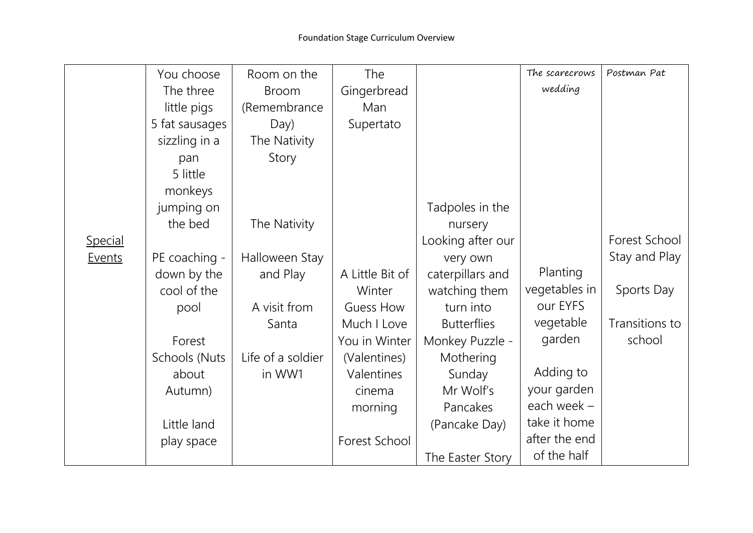|         | You choose     | Room on the       | The             |                    | The scarecrows | Postman Pat    |
|---------|----------------|-------------------|-----------------|--------------------|----------------|----------------|
|         | The three      | <b>Broom</b>      | Gingerbread     |                    | wedding        |                |
|         | little pigs    | (Remembrance      | Man             |                    |                |                |
|         | 5 fat sausages | Day)              | Supertato       |                    |                |                |
|         | sizzling in a  | The Nativity      |                 |                    |                |                |
|         | pan            | Story             |                 |                    |                |                |
|         | 5 little       |                   |                 |                    |                |                |
|         | monkeys        |                   |                 |                    |                |                |
|         | jumping on     |                   |                 | Tadpoles in the    |                |                |
|         | the bed        | The Nativity      |                 | nursery            |                |                |
| Special |                |                   |                 | Looking after our  |                | Forest School  |
| Events  | PE coaching -  | Halloween Stay    |                 | very own           |                | Stay and Play  |
|         | down by the    | and Play          | A Little Bit of | caterpillars and   | Planting       |                |
|         | cool of the    |                   | Winter          | watching them      | vegetables in  | Sports Day     |
|         | pool           | A visit from      | Guess How       | turn into          | our EYFS       |                |
|         |                | Santa             | Much I Love     | <b>Butterflies</b> | vegetable      | Transitions to |
|         | Forest         |                   | You in Winter   | Monkey Puzzle -    | garden         | school         |
|         | Schools (Nuts  | Life of a soldier | (Valentines)    | Mothering          |                |                |
|         | about          | in WW1            | Valentines      | Sunday             | Adding to      |                |
|         | Autumn)        |                   | cinema          | Mr Wolf's          | your garden    |                |
|         |                |                   | morning         | Pancakes           | each week -    |                |
|         | Little land    |                   |                 | (Pancake Day)      | take it home   |                |
|         | play space     |                   | Forest School   |                    | after the end  |                |
|         |                |                   |                 | The Easter Story   | of the half    |                |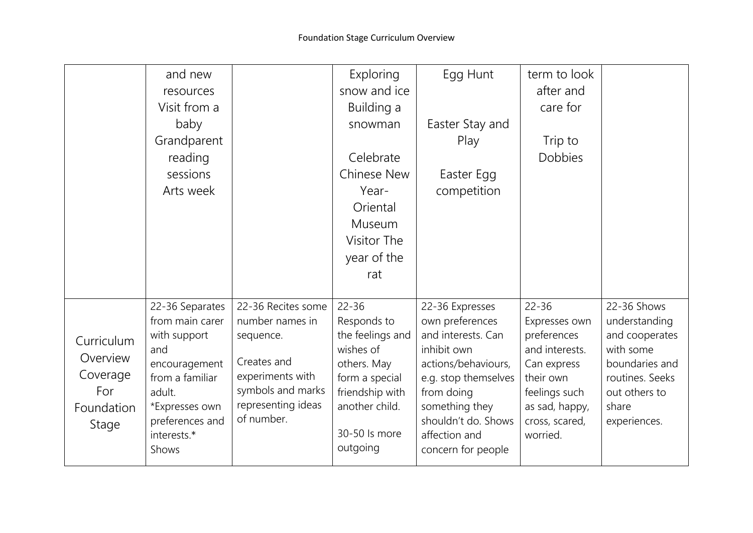|            | and new         |                    | Exploring        | Egg Hunt             | term to look   |                 |
|------------|-----------------|--------------------|------------------|----------------------|----------------|-----------------|
|            | resources       |                    | snow and ice     |                      | after and      |                 |
|            | Visit from a    |                    | Building a       |                      | care for       |                 |
|            | baby            |                    | snowman          | Easter Stay and      |                |                 |
|            | Grandparent     |                    |                  | Play                 | Trip to        |                 |
|            | reading         |                    | Celebrate        |                      | <b>Dobbies</b> |                 |
|            | sessions        |                    | Chinese New      | Easter Egg           |                |                 |
|            | Arts week       |                    | Year-            | competition          |                |                 |
|            |                 |                    | Oriental         |                      |                |                 |
|            |                 |                    | Museum           |                      |                |                 |
|            |                 |                    | Visitor The      |                      |                |                 |
|            |                 |                    | year of the      |                      |                |                 |
|            |                 |                    | rat              |                      |                |                 |
|            |                 |                    |                  |                      |                |                 |
|            | 22-36 Separates | 22-36 Recites some | $22 - 36$        | 22-36 Expresses      | $22 - 36$      | 22-36 Shows     |
|            | from main carer | number names in    | Responds to      | own preferences      | Expresses own  | understanding   |
| Curriculum | with support    | sequence.          | the feelings and | and interests. Can   | preferences    | and cooperates  |
| Overview   | and             |                    | wishes of        | inhibit own          | and interests. | with some       |
|            | encouragement   | Creates and        | others. May      | actions/behaviours,  | Can express    | boundaries and  |
| Coverage   | from a familiar | experiments with   | form a special   | e.g. stop themselves | their own      | routines. Seeks |
| For        | adult.          | symbols and marks  | friendship with  | from doing           | feelings such  | out others to   |
| Foundation | *Expresses own  | representing ideas | another child.   | something they       | as sad, happy, | share           |
| Stage      | preferences and | of number.         |                  | shouldn't do. Shows  | cross, scared, | experiences.    |
|            | interests.*     |                    | 30-50 ls more    | affection and        | worried.       |                 |
|            | Shows           |                    | outgoing         | concern for people   |                |                 |
|            |                 |                    |                  |                      |                |                 |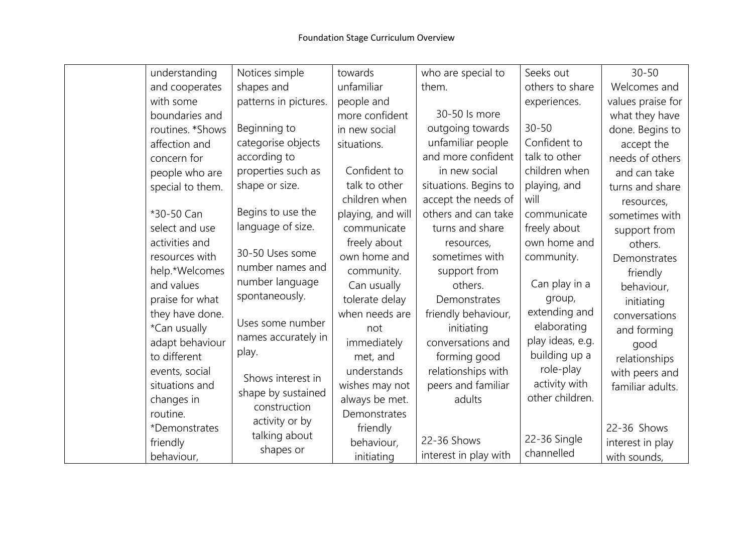| understanding    | Notices simple        | towards           | who are special to    | Seeks out        | $30 - 50$         |
|------------------|-----------------------|-------------------|-----------------------|------------------|-------------------|
| and cooperates   | shapes and            | unfamiliar        | them.                 | others to share  | Welcomes and      |
| with some        | patterns in pictures. | people and        |                       | experiences.     | values praise for |
| boundaries and   |                       | more confident    | 30-50 ls more         |                  | what they have    |
| routines. *Shows | Beginning to          | in new social     | outgoing towards      | $30 - 50$        | done. Begins to   |
| affection and    | categorise objects    | situations.       | unfamiliar people     | Confident to     | accept the        |
| concern for      | according to          |                   | and more confident    | talk to other    | needs of others   |
| people who are   | properties such as    | Confident to      | in new social         | children when    | and can take      |
| special to them. | shape or size.        | talk to other     | situations. Begins to | playing, and     | turns and share   |
|                  |                       | children when     | accept the needs of   | will             | resources,        |
| *30-50 Can       | Begins to use the     | playing, and will | others and can take   | communicate      | sometimes with    |
| select and use   | language of size.     | communicate       | turns and share       | freely about     | support from      |
| activities and   |                       | freely about      | resources,            | own home and     | others.           |
| resources with   | 30-50 Uses some       | own home and      | sometimes with        | community.       | Demonstrates      |
| help.*Welcomes   | number names and      | community.        | support from          |                  | friendly          |
| and values       | number language       | Can usually       | others.               | Can play in a    | behaviour,        |
| praise for what  | spontaneously.        | tolerate delay    | Demonstrates          | group,           | initiating        |
| they have done.  |                       | when needs are    | friendly behaviour,   | extending and    | conversations     |
| *Can usually     | Uses some number      | not               | initiating            | elaborating      | and forming       |
| adapt behaviour  | names accurately in   | immediately       | conversations and     | play ideas, e.g. | good              |
| to different     | play.                 | met, and          | forming good          | building up a    | relationships     |
| events, social   |                       | understands       | relationships with    | role-play        | with peers and    |
| situations and   | Shows interest in     | wishes may not    | peers and familiar    | activity with    | familiar adults.  |
| changes in       | shape by sustained    | always be met.    | adults                | other children.  |                   |
| routine.         | construction          | Demonstrates      |                       |                  |                   |
| *Demonstrates    | activity or by        | friendly          |                       |                  | 22-36 Shows       |
| friendly         | talking about         | behaviour,        | 22-36 Shows           | 22-36 Single     | interest in play  |
| behaviour,       | shapes or             | initiating        | interest in play with | channelled       | with sounds,      |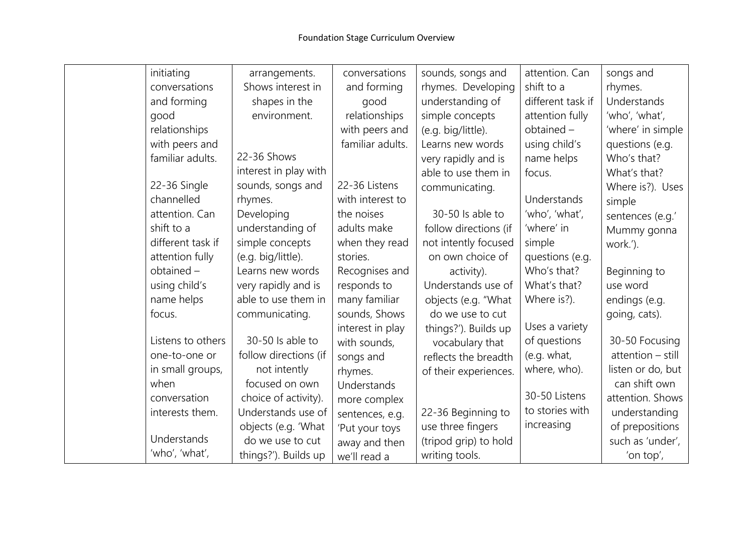| initiating        | arrangements.         | conversations    | sounds, songs and     | attention. Can    | songs and         |
|-------------------|-----------------------|------------------|-----------------------|-------------------|-------------------|
| conversations     | Shows interest in     | and forming      | rhymes. Developing    | shift to a        | rhymes.           |
| and forming       | shapes in the         | good             | understanding of      | different task if | Understands       |
| good              | environment.          | relationships    | simple concepts       | attention fully   | 'who', 'what',    |
| relationships     |                       | with peers and   | (e.g. big/little).    | obtained -        | 'where' in simple |
| with peers and    |                       | familiar adults. | Learns new words      | using child's     | questions (e.g.   |
| familiar adults.  | 22-36 Shows           |                  | very rapidly and is   | name helps        | Who's that?       |
|                   | interest in play with |                  | able to use them in   | focus.            | What's that?      |
| 22-36 Single      | sounds, songs and     | 22-36 Listens    | communicating.        |                   | Where is?). Uses  |
| channelled        | rhymes.               | with interest to |                       | Understands       | simple            |
| attention. Can    | Developing            | the noises       | 30-50 Is able to      | 'who', 'what',    | sentences (e.g.'  |
| shift to a        | understanding of      | adults make      | follow directions (if | 'where' in        | Mummy gonna       |
| different task if | simple concepts       | when they read   | not intently focused  | simple            | work.').          |
| attention fully   | (e.g. big/little).    | stories.         | on own choice of      | questions (e.g.   |                   |
| obtained -        | Learns new words      | Recognises and   | activity).            | Who's that?       | Beginning to      |
| using child's     | very rapidly and is   | responds to      | Understands use of    | What's that?      | use word          |
| name helps        | able to use them in   | many familiar    | objects (e.g. "What   | Where is?).       | endings (e.g.     |
| focus.            | communicating.        | sounds, Shows    | do we use to cut      |                   | going, cats).     |
|                   |                       | interest in play | things?'). Builds up  | Uses a variety    |                   |
| Listens to others | 30-50 Is able to      | with sounds,     | vocabulary that       | of questions      | 30-50 Focusing    |
| one-to-one or     | follow directions (if | songs and        | reflects the breadth  | (e.g. what,       | attention - still |
| in small groups,  | not intently          | rhymes.          | of their experiences. | where, who).      | listen or do, but |
| when              | focused on own        | Understands      |                       |                   | can shift own     |
| conversation      | choice of activity).  | more complex     |                       | 30-50 Listens     | attention. Shows  |
| interests them.   | Understands use of    | sentences, e.g.  | 22-36 Beginning to    | to stories with   | understanding     |
|                   | objects (e.g. 'What   | 'Put your toys   | use three fingers     | increasing        | of prepositions   |
| Understands       | do we use to cut      | away and then    | (tripod grip) to hold |                   | such as 'under',  |
| 'who', 'what',    | things?'). Builds up  | we'll read a     | writing tools.        |                   | 'on top',         |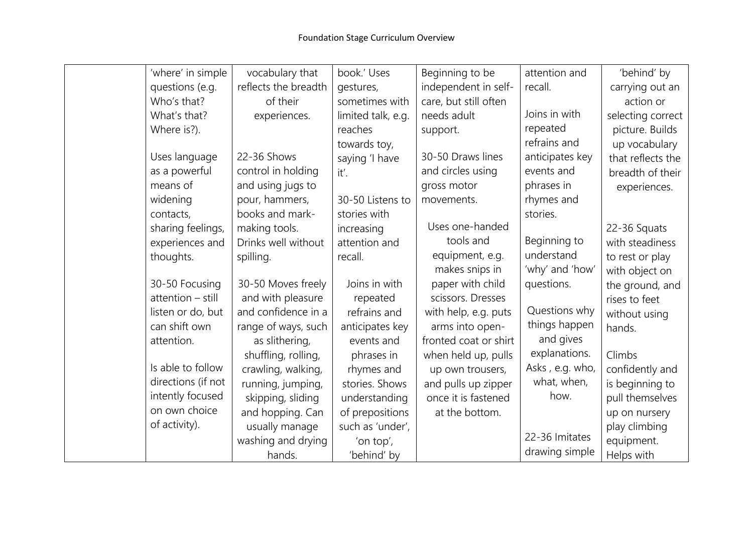| 'where' in simple  | vocabulary that      | book.' Uses        | Beginning to be       | attention and   | 'behind' by       |
|--------------------|----------------------|--------------------|-----------------------|-----------------|-------------------|
| questions (e.g.    | reflects the breadth | gestures,          | independent in self-  | recall.         | carrying out an   |
| Who's that?        | of their             | sometimes with     | care, but still often |                 | action or         |
| What's that?       | experiences.         | limited talk, e.g. | needs adult           | Joins in with   | selecting correct |
| Where is?).        |                      | reaches            | support.              | repeated        | picture. Builds   |
|                    |                      | towards toy,       |                       | refrains and    | up vocabulary     |
| Uses language      | 22-36 Shows          | saying 'I have     | 30-50 Draws lines     | anticipates key | that reflects the |
| as a powerful      | control in holding   | it'.               | and circles using     | events and      | breadth of their  |
| means of           | and using jugs to    |                    | gross motor           | phrases in      | experiences.      |
| widening           | pour, hammers,       | 30-50 Listens to   | movements.            | rhymes and      |                   |
| contacts,          | books and mark-      | stories with       |                       | stories.        |                   |
| sharing feelings,  | making tools.        | increasing         | Uses one-handed       |                 | 22-36 Squats      |
| experiences and    | Drinks well without  | attention and      | tools and             | Beginning to    | with steadiness   |
| thoughts.          | spilling.            | recall.            | equipment, e.g.       | understand      | to rest or play   |
|                    |                      |                    | makes snips in        | 'why' and 'how' | with object on    |
| 30-50 Focusing     | 30-50 Moves freely   | Joins in with      | paper with child      | questions.      | the ground, and   |
| attention - still  | and with pleasure    | repeated           | scissors. Dresses     |                 | rises to feet     |
| listen or do, but  | and confidence in a  | refrains and       | with help, e.g. puts  | Questions why   | without using     |
| can shift own      | range of ways, such  | anticipates key    | arms into open-       | things happen   | hands.            |
| attention.         | as slithering,       | events and         | fronted coat or shirt | and gives       |                   |
|                    | shuffling, rolling,  | phrases in         | when held up, pulls   | explanations.   | Climbs            |
| Is able to follow  | crawling, walking,   | rhymes and         | up own trousers,      | Asks, e.g. who, | confidently and   |
| directions (if not | running, jumping,    | stories. Shows     | and pulls up zipper   | what, when,     | is beginning to   |
| intently focused   | skipping, sliding    | understanding      | once it is fastened   | how.            | pull themselves   |
| on own choice      | and hopping. Can     | of prepositions    | at the bottom.        |                 | up on nursery     |
| of activity).      | usually manage       | such as 'under',   |                       |                 | play climbing     |
|                    | washing and drying   | 'on top',          |                       | 22-36 Imitates  | equipment.        |
|                    | hands.               | 'behind' by        |                       | drawing simple  | Helps with        |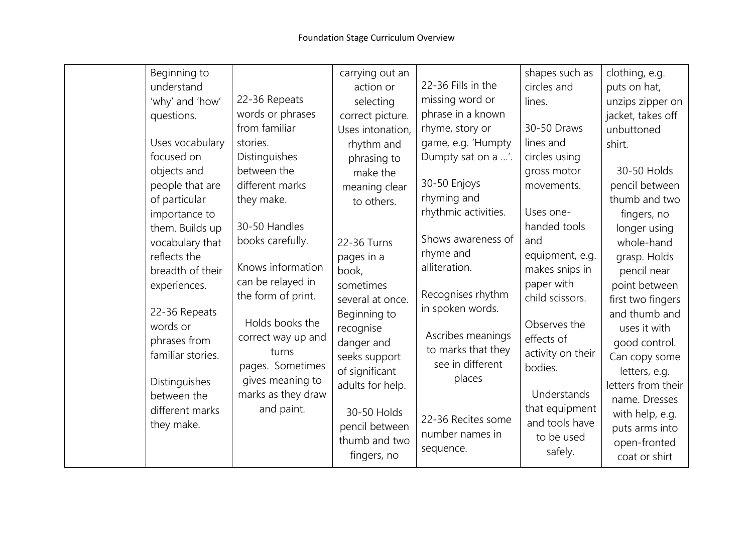| Beginning to<br>understand<br>'why' and 'how'<br>questions.<br>Uses vocabulary<br>focused on<br>objects and<br>people that are<br>of particular<br>importance to<br>them. Builds up<br>vocabulary that<br>reflects the<br>breadth of their<br>experiences.<br>22-36 Repeats<br>words or<br>phrases from<br>familiar stories.<br>Distinguishes<br>between the<br>different marks | 22-36 Repeats<br>words or phrases<br>from familiar<br>stories.<br>Distinguishes<br>between the<br>different marks<br>they make.<br>30-50 Handles<br>books carefully.<br>Knows information<br>can be relayed in<br>the form of print.<br>Holds books the<br>correct way up and<br>turns<br>pages. Sometimes<br>gives meaning to<br>marks as they draw<br>and paint. | carrying out an<br>action or<br>selecting<br>correct picture.<br>Uses intonation,<br>rhythm and<br>phrasing to<br>make the<br>meaning clear<br>to others.<br>22-36 Turns<br>pages in a<br>book,<br>sometimes<br>several at once.<br>Beginning to<br>recognise<br>danger and<br>seeks support<br>of significant<br>adults for help.<br>30-50 Holds | 22-36 Fills in the<br>missing word or<br>phrase in a known<br>rhyme, story or<br>game, e.g. 'Humpty<br>Dumpty sat on a '.<br>30-50 Enjoys<br>rhyming and<br>rhythmic activities.<br>Shows awareness of<br>rhyme and<br>alliteration.<br>Recognises rhythm<br>in spoken words.<br>Ascribes meanings<br>to marks that they<br>see in different<br>places<br>22-36 Recites some | shapes such as<br>circles and<br>lines.<br>30-50 Draws<br>lines and<br>circles using<br>gross motor<br>movements.<br>Uses one-<br>handed tools<br>and<br>equipment, e.g.<br>makes snips in<br>paper with<br>child scissors.<br>Observes the<br>effects of<br>activity on their<br>bodies.<br>Understands<br>that equipment<br>and tools have | clothing, e.g.<br>puts on hat,<br>unzips zipper on<br>jacket, takes off<br>unbuttoned<br>shirt.<br>30-50 Holds<br>pencil between<br>thumb and two<br>fingers, no<br>longer using<br>whole-hand<br>grasp. Holds<br>pencil near<br>point between<br>first two fingers<br>and thumb and<br>uses it with<br>good control.<br>Can copy some<br>letters, e.g.<br>letters from their<br>name. Dresses<br>with help, e.g. |
|---------------------------------------------------------------------------------------------------------------------------------------------------------------------------------------------------------------------------------------------------------------------------------------------------------------------------------------------------------------------------------|--------------------------------------------------------------------------------------------------------------------------------------------------------------------------------------------------------------------------------------------------------------------------------------------------------------------------------------------------------------------|---------------------------------------------------------------------------------------------------------------------------------------------------------------------------------------------------------------------------------------------------------------------------------------------------------------------------------------------------|------------------------------------------------------------------------------------------------------------------------------------------------------------------------------------------------------------------------------------------------------------------------------------------------------------------------------------------------------------------------------|----------------------------------------------------------------------------------------------------------------------------------------------------------------------------------------------------------------------------------------------------------------------------------------------------------------------------------------------|-------------------------------------------------------------------------------------------------------------------------------------------------------------------------------------------------------------------------------------------------------------------------------------------------------------------------------------------------------------------------------------------------------------------|
| they make.                                                                                                                                                                                                                                                                                                                                                                      |                                                                                                                                                                                                                                                                                                                                                                    | pencil between<br>thumb and two<br>fingers, no                                                                                                                                                                                                                                                                                                    | number names in<br>sequence.                                                                                                                                                                                                                                                                                                                                                 | to be used<br>safely.                                                                                                                                                                                                                                                                                                                        | puts arms into<br>open-fronted<br>coat or shirt                                                                                                                                                                                                                                                                                                                                                                   |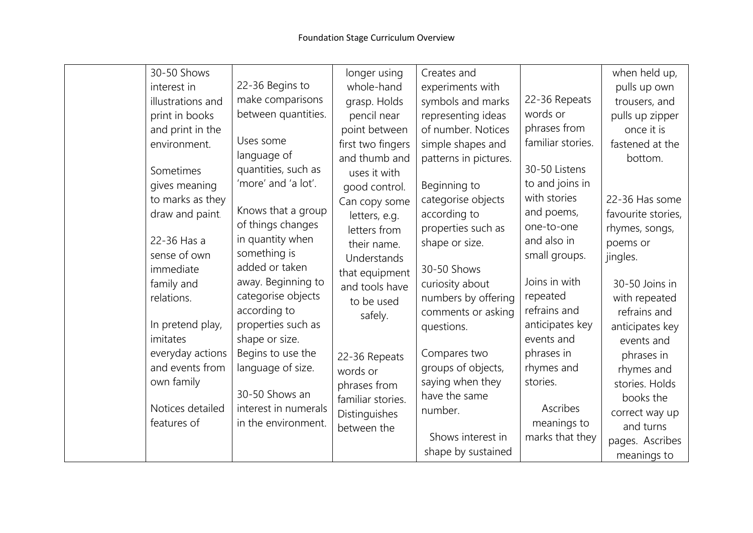| 30-50 Shows       |                      | longer using      | Creates and           |                   | when held up,      |
|-------------------|----------------------|-------------------|-----------------------|-------------------|--------------------|
| interest in       | 22-36 Begins to      | whole-hand        | experiments with      |                   | pulls up own       |
| illustrations and | make comparisons     | grasp. Holds      | symbols and marks     | 22-36 Repeats     | trousers, and      |
| print in books    | between quantities.  | pencil near       | representing ideas    | words or          | pulls up zipper    |
| and print in the  |                      | point between     | of number. Notices    | phrases from      | once it is         |
| environment.      | Uses some            | first two fingers | simple shapes and     | familiar stories. | fastened at the    |
|                   | language of          | and thumb and     | patterns in pictures. |                   | bottom.            |
| Sometimes         | quantities, such as  | uses it with      |                       | 30-50 Listens     |                    |
| gives meaning     | 'more' and 'a lot'.  | good control.     | Beginning to          | to and joins in   |                    |
| to marks as they  |                      | Can copy some     | categorise objects    | with stories      | 22-36 Has some     |
| draw and paint.   | Knows that a group   | letters, e.g.     | according to          | and poems,        | favourite stories, |
|                   | of things changes    | letters from      | properties such as    | one-to-one        | rhymes, songs,     |
| 22-36 Has a       | in quantity when     | their name.       | shape or size.        | and also in       | poems or           |
| sense of own      | something is         | Understands       |                       | small groups.     | jingles.           |
| immediate         | added or taken       | that equipment    | 30-50 Shows           |                   |                    |
| family and        | away. Beginning to   | and tools have    | curiosity about       | Joins in with     | 30-50 Joins in     |
| relations.        | categorise objects   | to be used        | numbers by offering   | repeated          | with repeated      |
|                   | according to         | safely.           | comments or asking    | refrains and      | refrains and       |
| In pretend play,  | properties such as   |                   | questions.            | anticipates key   | anticipates key    |
| imitates          | shape or size.       |                   |                       | events and        | events and         |
| everyday actions  | Begins to use the    | 22-36 Repeats     | Compares two          | phrases in        | phrases in         |
| and events from   | language of size.    | words or          | groups of objects,    | rhymes and        | rhymes and         |
| own family        |                      | phrases from      | saying when they      | stories.          | stories. Holds     |
|                   | 30-50 Shows an       | familiar stories. | have the same         |                   | books the          |
| Notices detailed  | interest in numerals | Distinguishes     | number.               | Ascribes          | correct way up     |
| features of       | in the environment.  | between the       |                       | meanings to       | and turns          |
|                   |                      |                   | Shows interest in     | marks that they   | pages. Ascribes    |
|                   |                      |                   | shape by sustained    |                   | meanings to        |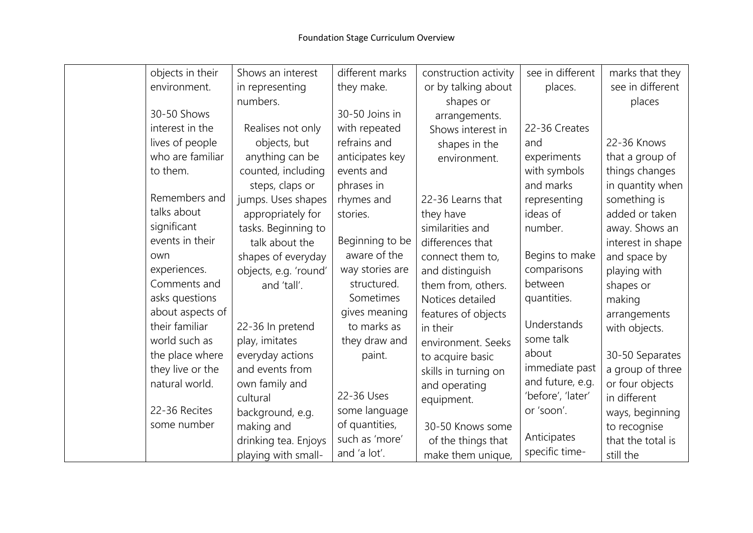|     | objects in their | Shows an interest     | different marks | construction activity | see in different  | marks that they   |
|-----|------------------|-----------------------|-----------------|-----------------------|-------------------|-------------------|
|     | environment.     | in representing       | they make.      | or by talking about   | places.           | see in different  |
|     |                  | numbers.              |                 | shapes or             |                   | places            |
|     | 30-50 Shows      |                       | 30-50 Joins in  | arrangements.         |                   |                   |
|     | interest in the  | Realises not only     | with repeated   | Shows interest in     | 22-36 Creates     |                   |
|     | lives of people  | objects, but          | refrains and    | shapes in the         | and               | 22-36 Knows       |
|     | who are familiar | anything can be       | anticipates key | environment.          | experiments       | that a group of   |
|     | to them.         | counted, including    | events and      |                       | with symbols      | things changes    |
|     |                  | steps, claps or       | phrases in      |                       | and marks         | in quantity when  |
|     | Remembers and    | jumps. Uses shapes    | rhymes and      | 22-36 Learns that     | representing      | something is      |
|     | talks about      | appropriately for     | stories.        | they have             | ideas of          | added or taken    |
|     | significant      | tasks. Beginning to   |                 | similarities and      | number.           | away. Shows an    |
|     | events in their  | talk about the        | Beginning to be | differences that      |                   | interest in shape |
| own |                  | shapes of everyday    | aware of the    | connect them to,      | Begins to make    | and space by      |
|     | experiences.     | objects, e.g. 'round' | way stories are | and distinguish       | comparisons       | playing with      |
|     | Comments and     | and 'tall'.           | structured.     | them from, others.    | between           | shapes or         |
|     | asks questions   |                       | Sometimes       | Notices detailed      | quantities.       | making            |
|     | about aspects of |                       | gives meaning   | features of objects   |                   | arrangements      |
|     | their familiar   | 22-36 In pretend      | to marks as     | in their              | Understands       | with objects.     |
|     | world such as    | play, imitates        | they draw and   | environment. Seeks    | some talk         |                   |
|     | the place where  | everyday actions      | paint.          | to acquire basic      | about             | 30-50 Separates   |
|     | they live or the | and events from       |                 | skills in turning on  | immediate past    | a group of three  |
|     | natural world.   | own family and        |                 | and operating         | and future, e.g.  | or four objects   |
|     |                  | cultural              | 22-36 Uses      | equipment.            | 'before', 'later' | in different      |
|     | 22-36 Recites    | background, e.g.      | some language   |                       | or 'soon'.        | ways, beginning   |
|     | some number      | making and            | of quantities,  | 30-50 Knows some      |                   | to recognise      |
|     |                  | drinking tea. Enjoys  | such as 'more'  | of the things that    | Anticipates       | that the total is |
|     |                  | playing with small-   | and 'a lot'.    | make them unique,     | specific time-    | still the         |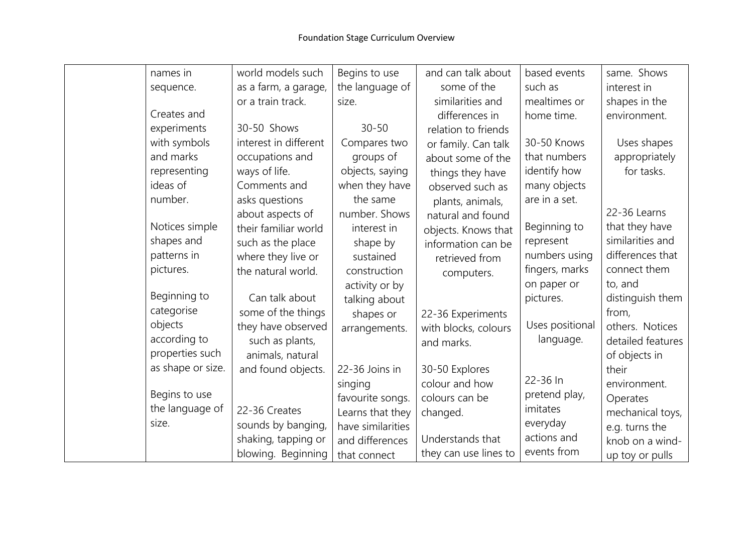| names in          | world models such     | Begins to use     | and can talk about    | based events    | same. Shows       |
|-------------------|-----------------------|-------------------|-----------------------|-----------------|-------------------|
| sequence.         | as a farm, a garage,  | the language of   | some of the           | such as         | interest in       |
|                   | or a train track.     | size.             | similarities and      | mealtimes or    | shapes in the     |
| Creates and       |                       |                   | differences in        | home time.      | environment.      |
| experiments       | 30-50 Shows           | $30 - 50$         | relation to friends   |                 |                   |
| with symbols      | interest in different | Compares two      | or family. Can talk   | 30-50 Knows     | Uses shapes       |
| and marks         | occupations and       | groups of         | about some of the     | that numbers    | appropriately     |
| representing      | ways of life.         | objects, saying   | things they have      | identify how    | for tasks.        |
| ideas of          | Comments and          | when they have    | observed such as      | many objects    |                   |
| number.           | asks questions        | the same          | plants, animals,      | are in a set.   |                   |
|                   | about aspects of      | number. Shows     | natural and found     |                 | 22-36 Learns      |
| Notices simple    | their familiar world  | interest in       | objects. Knows that   | Beginning to    | that they have    |
| shapes and        | such as the place     | shape by          | information can be    | represent       | similarities and  |
| patterns in       | where they live or    | sustained         | retrieved from        | numbers using   | differences that  |
| pictures.         | the natural world.    | construction      | computers.            | fingers, marks  | connect them      |
|                   |                       | activity or by    |                       | on paper or     | to, and           |
| Beginning to      | Can talk about        | talking about     |                       | pictures.       | distinguish them  |
| categorise        | some of the things    | shapes or         | 22-36 Experiments     |                 | from,             |
| objects           | they have observed    | arrangements.     | with blocks, colours  | Uses positional | others. Notices   |
| according to      | such as plants,       |                   | and marks.            | language.       | detailed features |
| properties such   | animals, natural      |                   |                       |                 | of objects in     |
| as shape or size. | and found objects.    | 22-36 Joins in    | 30-50 Explores        |                 | their             |
|                   |                       | singing           | colour and how        | 22-36 In        | environment.      |
| Begins to use     |                       | favourite songs.  | colours can be        | pretend play,   | Operates          |
| the language of   | 22-36 Creates         | Learns that they  | changed.              | imitates        | mechanical toys,  |
| size.             | sounds by banging,    | have similarities |                       | everyday        | e.g. turns the    |
|                   | shaking, tapping or   | and differences   | Understands that      | actions and     | knob on a wind-   |
|                   | blowing. Beginning    | that connect      | they can use lines to | events from     | up toy or pulls   |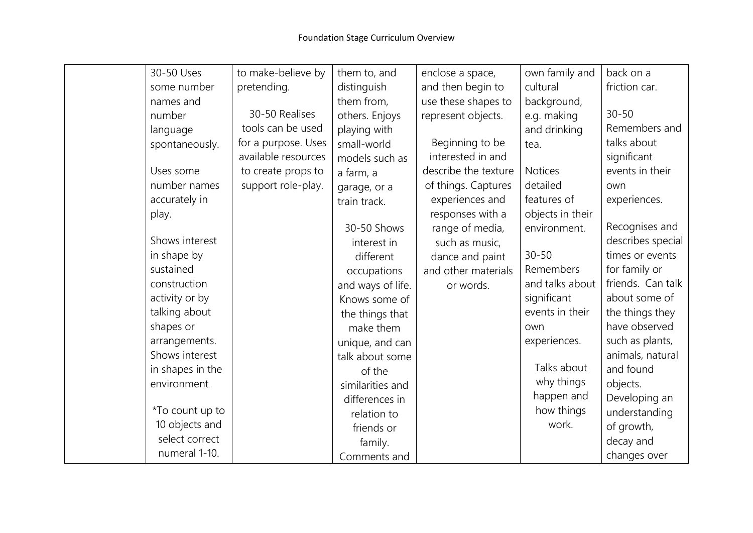| 30-50 Uses       | to make-believe by  | them to, and      | enclose a space,     | own family and   | back on a         |
|------------------|---------------------|-------------------|----------------------|------------------|-------------------|
| some number      | pretending.         | distinguish       | and then begin to    | cultural         | friction car.     |
| names and        |                     | them from,        | use these shapes to  | background,      |                   |
| number           | 30-50 Realises      | others. Enjoys    | represent objects.   | e.g. making      | $30 - 50$         |
| language         | tools can be used   | playing with      |                      | and drinking     | Remembers and     |
| spontaneously.   | for a purpose. Uses | small-world       | Beginning to be      | tea.             | talks about       |
|                  | available resources | models such as    | interested in and    |                  | significant       |
| Uses some        | to create props to  | a farm, a         | describe the texture | <b>Notices</b>   | events in their   |
| number names     | support role-play.  | garage, or a      | of things. Captures  | detailed         | own               |
| accurately in    |                     | train track.      | experiences and      | features of      | experiences.      |
| play.            |                     |                   | responses with a     | objects in their |                   |
|                  |                     | 30-50 Shows       | range of media,      | environment.     | Recognises and    |
| Shows interest   |                     | interest in       | such as music,       |                  | describes special |
| in shape by      |                     | different         | dance and paint      | $30 - 50$        | times or events   |
| sustained        |                     | occupations       | and other materials  | Remembers        | for family or     |
| construction     |                     | and ways of life. | or words.            | and talks about  | friends. Can talk |
| activity or by   |                     | Knows some of     |                      | significant      | about some of     |
| talking about    |                     | the things that   |                      | events in their  | the things they   |
| shapes or        |                     | make them         |                      | own              | have observed     |
| arrangements.    |                     | unique, and can   |                      | experiences.     | such as plants,   |
| Shows interest   |                     | talk about some   |                      |                  | animals, natural  |
| in shapes in the |                     | of the            |                      | Talks about      | and found         |
| environment.     |                     | similarities and  |                      | why things       | objects.          |
|                  |                     | differences in    |                      | happen and       | Developing an     |
| *To count up to  |                     | relation to       |                      | how things       | understanding     |
| 10 objects and   |                     | friends or        |                      | work.            | of growth,        |
| select correct   |                     | family.           |                      |                  | decay and         |
| numeral 1-10.    |                     | Comments and      |                      |                  | changes over      |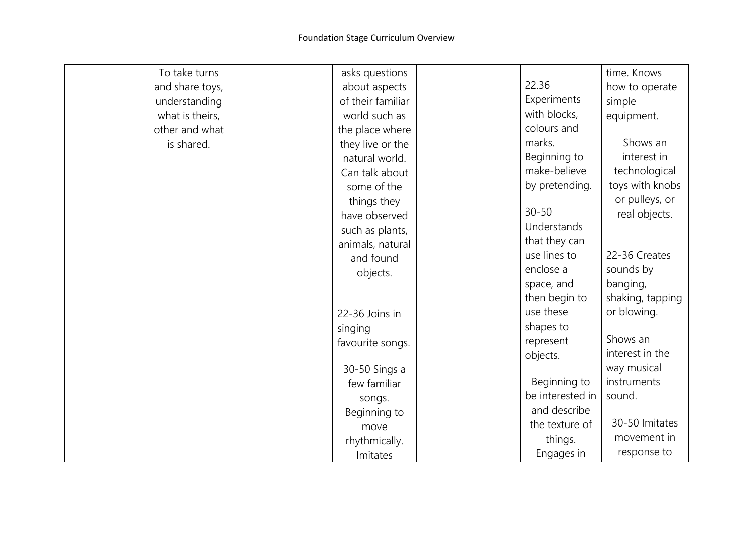| To take turns   | asks questions    |                  | time. Knows      |
|-----------------|-------------------|------------------|------------------|
| and share toys, | about aspects     | 22.36            | how to operate   |
| understanding   | of their familiar | Experiments      | simple           |
| what is theirs, | world such as     | with blocks,     | equipment.       |
| other and what  | the place where   | colours and      |                  |
| is shared.      | they live or the  | marks.           | Shows an         |
|                 | natural world.    | Beginning to     | interest in      |
|                 | Can talk about    | make-believe     | technological    |
|                 | some of the       | by pretending.   | toys with knobs  |
|                 | things they       |                  | or pulleys, or   |
|                 | have observed     | $30 - 50$        | real objects.    |
|                 | such as plants,   | Understands      |                  |
|                 | animals, natural  | that they can    |                  |
|                 | and found         | use lines to     | 22-36 Creates    |
|                 | objects.          | enclose a        | sounds by        |
|                 |                   | space, and       | banging,         |
|                 |                   | then begin to    | shaking, tapping |
|                 | 22-36 Joins in    | use these        | or blowing.      |
|                 | singing           | shapes to        |                  |
|                 | favourite songs.  | represent        | Shows an         |
|                 |                   | objects.         | interest in the  |
|                 | 30-50 Sings a     |                  | way musical      |
|                 | few familiar      | Beginning to     | instruments      |
|                 | songs.            | be interested in | sound.           |
|                 | Beginning to      | and describe     |                  |
|                 | move              | the texture of   | 30-50 Imitates   |
|                 | rhythmically.     | things.          | movement in      |
|                 | Imitates          | Engages in       | response to      |